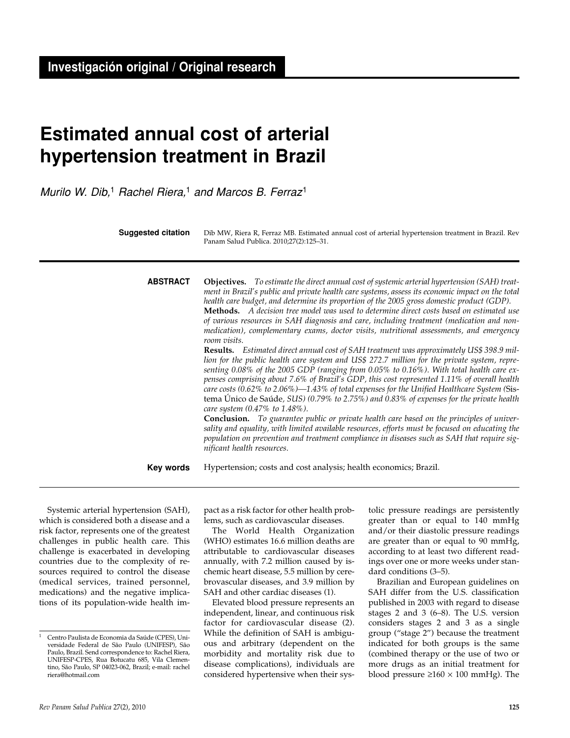# **Estimated annual cost of arterial hypertension treatment in Brazil**

Murilo W. Dib,<sup>1</sup> Rachel Riera,<sup>1</sup> and Marcos B. Ferraz<sup>1</sup>

| <b>Suggested citation</b> | Dib MW, Riera R, Ferraz MB. Estimated annual cost of arterial hypertension treatment in Brazil. Rev<br>Panam Salud Publica. 2010;27(2):125-31.                                                                                                                                                                                                                                                                                                                                                                                                                                                                                                                                                                                                                                                                                                                                                                                                                                                                                                                                                                                                                                                                                                                                                                                                                                                                                                                                                                                                                |  |  |
|---------------------------|---------------------------------------------------------------------------------------------------------------------------------------------------------------------------------------------------------------------------------------------------------------------------------------------------------------------------------------------------------------------------------------------------------------------------------------------------------------------------------------------------------------------------------------------------------------------------------------------------------------------------------------------------------------------------------------------------------------------------------------------------------------------------------------------------------------------------------------------------------------------------------------------------------------------------------------------------------------------------------------------------------------------------------------------------------------------------------------------------------------------------------------------------------------------------------------------------------------------------------------------------------------------------------------------------------------------------------------------------------------------------------------------------------------------------------------------------------------------------------------------------------------------------------------------------------------|--|--|
| <b>ABSTRACT</b>           | Objectives. To estimate the direct annual cost of systemic arterial hypertension (SAH) treat-<br>ment in Brazil's public and private health care systems, assess its economic impact on the total<br>health care budget, and determine its proportion of the 2005 gross domestic product (GDP).<br>Methods. A decision tree model was used to determine direct costs based on estimated use<br>of various resources in SAH diagnosis and care, including treatment (medication and non-<br>medication), complementary exams, doctor visits, nutritional assessments, and emergency<br>room visits.<br>Results. Estimated direct annual cost of SAH treatment was approximately US\$ 398.9 mil-<br>lion for the public health care system and US\$ 272.7 million for the private system, repre-<br>senting 0.08% of the 2005 GDP (ranging from 0.05% to 0.16%). With total health care ex-<br>penses comprising about 7.6% of Brazil's GDP, this cost represented 1.11% of overall health<br>care costs (0.62% to 2.06%)-1.43% of total expenses for the Unified Healthcare System (Sis-<br>tema Único de Saúde, SUS) (0.79% to 2.75%) and 0.83% of expenses for the private health<br>care system $(0.47\% \text{ to } 1.48\%).$<br>Conclusion. To guarantee public or private health care based on the principles of univer-<br>sality and equality, with limited available resources, efforts must be focused on educating the<br>population on prevention and treatment compliance in diseases such as SAH that require sig-<br>nificant health resources. |  |  |
| Key words                 | Hypertension; costs and cost analysis; health economics; Brazil.                                                                                                                                                                                                                                                                                                                                                                                                                                                                                                                                                                                                                                                                                                                                                                                                                                                                                                                                                                                                                                                                                                                                                                                                                                                                                                                                                                                                                                                                                              |  |  |

Systemic arterial hypertension (SAH), which is considered both a disease and a risk factor, represents one of the greatest challenges in public health care. This challenge is exacerbated in developing countries due to the complexity of resources required to control the disease (medical services, trained personnel, medications) and the negative implications of its population-wide health im-

pact as a risk factor for other health problems, such as cardiovascular diseases.

The World Health Organization (WHO) estimates 16.6 million deaths are attributable to cardiovascular diseases annually, with 7.2 million caused by ischemic heart disease, 5.5 million by cerebrovascular diseases, and 3.9 million by SAH and other cardiac diseases (1).

Elevated blood pressure represents an independent, linear, and continuous risk factor for cardiovascular disease (2). While the definition of SAH is ambiguous and arbitrary (dependent on the morbidity and mortality risk due to disease complications), individuals are considered hypertensive when their sys-

tolic pressure readings are persistently greater than or equal to 140 mmHg and/or their diastolic pressure readings are greater than or equal to 90 mmHg, according to at least two different readings over one or more weeks under standard conditions (3–5).

Brazilian and European guidelines on SAH differ from the U.S. classification published in 2003 with regard to disease stages 2 and 3 (6–8). The U.S. version considers stages 2 and 3 as a single group ("stage 2") because the treatment indicated for both groups is the same (combined therapy or the use of two or more drugs as an initial treatment for blood pressure  $≥160 \times 100$  mmHg). The

<sup>1</sup> Centro Paulista de Economia da Saúde (CPES), Universidade Federal de São Paulo (UNIFESP), São Paulo, Brazil. Send correspondence to: Rachel Riera, UNIFESP-CPES, Rua Botucatu 685, Vila Clementino, São Paulo, SP 04023-062, Brazil; e-mail: rachel riera@hotmail.com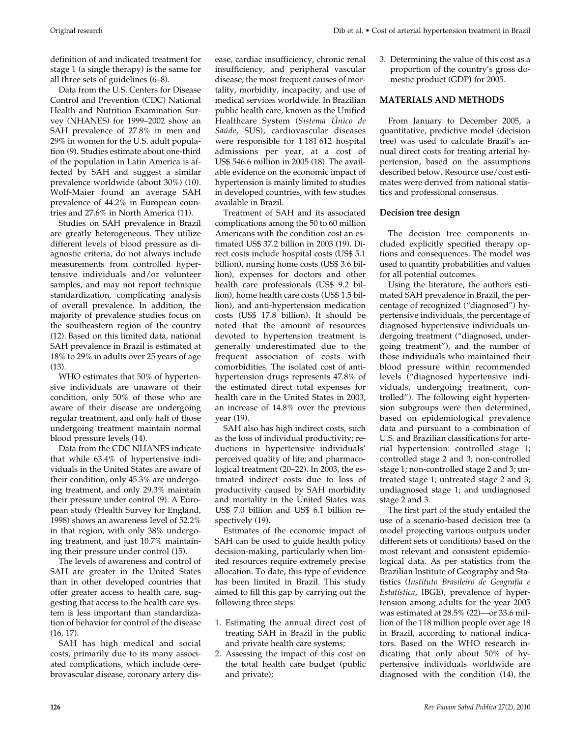definition of and indicated treatment for stage 1 (a single therapy) is the same for all three sets of guidelines (6–8).

Data from the U.S. Centers for Disease Control and Prevention (CDC) National Health and Nutrition Examination Survey (NHANES) for 1999–2002 show an SAH prevalence of 27.8% in men and 29% in women for the U.S. adult population (9). Studies estimate about one-third of the population in Latin America is affected by SAH and suggest a similar prevalence worldwide (about 30%) (10). Wolf-Maier found an average SAH prevalence of 44.2% in European countries and 27.6% in North America (11).

Studies on SAH prevalence in Brazil are greatly heterogeneous. They utilize different levels of blood pressure as diagnostic criteria, do not always include measurements from controlled hypertensive individuals and/or volunteer samples, and may not report technique standardization, complicating analysis of overall prevalence. In addition, the majority of prevalence studies focus on the southeastern region of the country (12). Based on this limited data, national SAH prevalence in Brazil is estimated at 18% to 29% in adults over 25 years of age (13).

WHO estimates that 50% of hypertensive individuals are unaware of their condition, only 50% of those who are aware of their disease are undergoing regular treatment, and only half of those undergoing treatment maintain normal blood pressure levels (14).

Data from the CDC NHANES indicate that while 63.4% of hypertensive individuals in the United States are aware of their condition, only 45.3% are undergoing treatment, and only 29.3% maintain their pressure under control (9). A European study (Health Survey for England, 1998) shows an awareness level of 52.2% in that region, with only 38% undergoing treatment, and just 10.7% maintaining their pressure under control (15).

The levels of awareness and control of SAH are greater in the United States than in other developed countries that offer greater access to health care, suggesting that access to the health care system is less important than standardization of behavior for control of the disease (16, 17).

SAH has high medical and social costs, primarily due to its many associated complications, which include cerebrovascular disease, coronary artery disease, cardiac insufficiency, chronic renal insufficiency, and peripheral vascular disease, the most frequent causes of mortality, morbidity, incapacity, and use of medical services worldwide. In Brazilian public health care, known as the Unified Healthcare System (*Sistema Único de Saúde*, SUS), cardiovascular diseases were responsible for 1 181 612 hospital admissions per year, at a cost of US\$ 546.6 million in 2005 (18). The available evidence on the economic impact of hypertension is mainly limited to studies in developed countries, with few studies available in Brazil.

Treatment of SAH and its associated complications among the 50 to 60 million Americans with the condition cost an estimated US\$ 37.2 billion in 2003 (19). Direct costs include hospital costs (US\$ 5.1 billion), nursing home costs (US\$ 3.6 billion), expenses for doctors and other health care professionals (US\$ 9.2 billion), home health care costs (US\$ 1.5 billion), and anti-hypertension medication costs (US\$ 17.8 billion). It should be noted that the amount of resources devoted to hypertension treatment is generally underestimated due to the frequent association of costs with comorbidities. The isolated cost of antihypertension drugs represents 47.8% of the estimated direct total expenses for health care in the United States in 2003, an increase of 14.8% over the previous year (19).

SAH also has high indirect costs, such as the loss of individual productivity; reductions in hypertensive individuals' perceived quality of life; and pharmacological treatment (20–22). In 2003, the estimated indirect costs due to loss of productivity caused by SAH morbidity and mortality in the United States was US\$ 7.0 billion and US\$ 6.1 billion respectively (19).

Estimates of the economic impact of SAH can be used to guide health policy decision-making, particularly when limited resources require extremely precise allocation. To date, this type of evidence has been limited in Brazil. This study aimed to fill this gap by carrying out the following three steps:

- 1. Estimating the annual direct cost of treating SAH in Brazil in the public and private health care systems;
- 2. Assessing the impact of this cost on the total health care budget (public and private);

3. Determining the value of this cost as a proportion of the country's gross domestic product (GDP) for 2005.

### **MATERIALS AND METHODS**

From January to December 2005, a quantitative, predictive model (decision tree) was used to calculate Brazil's annual direct costs for treating arterial hypertension, based on the assumptions described below. Resource use/cost estimates were derived from national statistics and professional consensus.

#### **Decision tree design**

The decision tree components included explicitly specified therapy options and consequences. The model was used to quantify probabilities and values for all potential outcomes.

Using the literature, the authors estimated SAH prevalence in Brazil, the percentage of recognized ("diagnosed") hypertensive individuals, the percentage of diagnosed hypertensive individuals undergoing treatment ("diagnosed, undergoing treatment"), and the number of those individuals who maintained their blood pressure within recommended levels ("diagnosed hypertensive individuals, undergoing treatment, controlled"). The following eight hypertension subgroups were then determined, based on epidemiological prevalence data and pursuant to a combination of U.S. and Brazilian classifications for arterial hypertension: controlled stage 1; controlled stage 2 and 3; non-controlled stage 1; non-controlled stage 2 and 3; untreated stage 1; untreated stage 2 and 3; undiagnosed stage 1; and undiagnosed stage 2 and 3.

The first part of the study entailed the use of a scenario-based decision tree (a model projecting various outputs under different sets of conditions) based on the most relevant and consistent epidemiological data. As per statistics from the Brazilian Institute of Geography and Statistics (*Instituto Brasileiro de Geografia e Estatística*, IBGE), prevalence of hypertension among adults for the year 2005 was estimated at 28.5% (22)—or 33.6 million of the 118 million people over age 18 in Brazil, according to national indicators. Based on the WHO research indicating that only about 50% of hypertensive individuals worldwide are diagnosed with the condition (14), the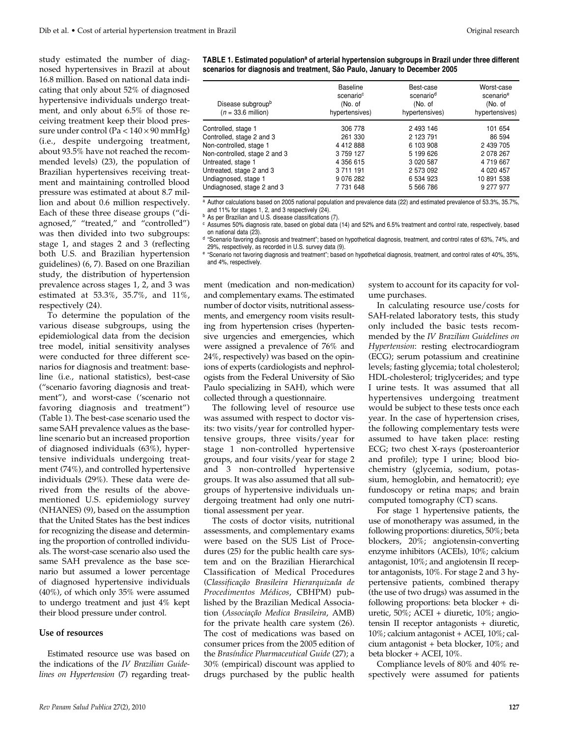study estimated the number of diagnosed hypertensives in Brazil at about 16.8 million. Based on national data indicating that only about 52% of diagnosed hypertensive individuals undergo treatment, and only about 6.5% of those receiving treatment keep their blood pressure under control ( $Pa < 140 \times 90$  mmHg) (i.e., despite undergoing treatment, about 93.5% have not reached the recommended levels) (23), the population of Brazilian hypertensives receiving treatment and maintaining controlled blood pressure was estimated at about 8.7 million and about 0.6 million respectively. Each of these three disease groups ("diagnosed," "treated," and "controlled") was then divided into two subgroups: stage 1, and stages 2 and 3 (reflecting both U.S. and Brazilian hypertension guidelines) (6, 7). Based on one Brazilian study, the distribution of hypertension prevalence across stages 1, 2, and 3 was estimated at 53.3%, 35.7%, and 11%, respectively (24).

To determine the population of the various disease subgroups, using the epidemiological data from the decision tree model, initial sensitivity analyses were conducted for three different scenarios for diagnosis and treatment: baseline (i.e., national statistics), best-case ("scenario favoring diagnosis and treatment"), and worst-case ('scenario not favoring diagnosis and treatment") (Table 1). The best-case scenario used the same SAH prevalence values as the baseline scenario but an increased proportion of diagnosed individuals (63%), hypertensive individuals undergoing treatment (74%), and controlled hypertensive individuals (29%). These data were derived from the results of the abovementioned U.S. epidemiology survey (NHANES) (9), based on the assumption that the United States has the best indices for recognizing the disease and determining the proportion of controlled individuals. The worst-case scenario also used the same SAH prevalence as the base scenario but assumed a lower percentage of diagnosed hypertensive individuals (40%), of which only 35% were assumed to undergo treatment and just 4% kept their blood pressure under control.

#### **Use of resources**

Estimated resource use was based on the indications of the *IV Brazilian Guidelines on Hypertension* (7) regarding treat-

| TABLE 1. Estimated population <sup>a</sup> of arterial hypertension subgroups in Brazil under three different |  |
|---------------------------------------------------------------------------------------------------------------|--|
| scenarios for diagnosis and treatment, São Paulo, January to December 2005                                    |  |

| Disease subgroupb<br>$(n = 33.6 \text{ million})$ | <b>Baseline</b><br>scenario <sup>c</sup><br>(No. of<br>hypertensives) | Best-case<br>scenario <sup>d</sup><br>(No. of<br>hypertensives) | Worst-case<br>scenario <sup>e</sup><br>(No. of<br>hypertensives) |
|---------------------------------------------------|-----------------------------------------------------------------------|-----------------------------------------------------------------|------------------------------------------------------------------|
| Controlled, stage 1                               | 306 778                                                               | 2 493 146                                                       | 101 654                                                          |
| Controlled, stage 2 and 3                         | 261 330                                                               | 2 123 791                                                       | 86 594                                                           |
| Non-controlled, stage 1                           | 4412888                                                               | 6 103 908                                                       | 2 439 705                                                        |
| Non-controlled, stage 2 and 3                     | 3759127                                                               | 5 199 626                                                       | 2 078 267                                                        |
| Untreated, stage 1                                | 4 356 615                                                             | 3 020 587                                                       | 4 719 667                                                        |
| Untreated, stage 2 and 3                          | 3711191                                                               | 2 573 092                                                       | 4 020 457                                                        |
| Undiagnosed, stage 1                              | 9 076 282                                                             | 6 534 923                                                       | 10 891 538                                                       |
| Undiagnosed, stage 2 and 3                        | 7 731 648                                                             | 5 566 786                                                       | 9 277 977                                                        |

<sup>a</sup> Author calculations based on 2005 national population and prevalence data (22) and estimated prevalence of 53.3%, 35.7%, and 11% for stages 1, 2, and 3 respectively (24).

b As per Brazilian and U.S. disease classifications (7).

<sup>c</sup> Assumes 50% diagnosis rate, based on global data (14) and 52% and 6.5% treatment and control rate, respectively, based

on national data (23).<br><sup>d</sup> "Scenario favoring diagnosis and treatment"; based on hypothetical diagnosis, treatment, and control rates of 63%, 74%, and 29%, respectively, as recorded in U.S. survey data (9).

<sup>e</sup> "Scenario not favoring diagnosis and treatment"; based on hypothetical diagnosis, treatment, and control rates of 40%, 35%, and 4%, respectively.

ment (medication and non-medication) and complementary exams. The estimated number of doctor visits, nutritional assessments, and emergency room visits resulting from hypertension crises (hypertensive urgencies and emergencies, which were assigned a prevalence of 76% and 24%, respectively) was based on the opinions of experts (cardiologists and nephrologists from the Federal University of São Paulo specializing in SAH), which were collected through a questionnaire.

The following level of resource use was assumed with respect to doctor visits: two visits/year for controlled hypertensive groups, three visits/year for stage 1 non-controlled hypertensive groups, and four visits/year for stage 2 and 3 non-controlled hypertensive groups. It was also assumed that all subgroups of hypertensive individuals undergoing treatment had only one nutritional assessment per year.

The costs of doctor visits, nutritional assessments, and complementary exams were based on the SUS List of Procedures (25) for the public health care system and on the Brazilian Hierarchical Classification of Medical Procedures (*Classificação Brasileira Hierarquizada de Procedimentos Médicos*, CBHPM) published by the Brazilian Medical Association (*Associação Medica Brasileira*, AMB) for the private health care system (26). The cost of medications was based on consumer prices from the 2005 edition of the *Brasíndice Pharmaceutical Guide* (27); a 30% (empirical) discount was applied to drugs purchased by the public health

system to account for its capacity for volume purchases.

In calculating resource use/costs for SAH-related laboratory tests, this study only included the basic tests recommended by the *IV Brazilian Guidelines on Hypertension*: resting electrocardiogram (ECG); serum potassium and creatinine levels; fasting glycemia; total cholesterol; HDL-cholesterol; triglycerides; and type I urine tests. It was assumed that all hypertensives undergoing treatment would be subject to these tests once each year. In the case of hypertension crises, the following complementary tests were assumed to have taken place: resting ECG; two chest X-rays (posteroanterior and profile); type I urine; blood biochemistry (glycemia, sodium, potassium, hemoglobin, and hematocrit); eye fundoscopy or retina maps; and brain computed tomography (CT) scans.

For stage 1 hypertensive patients, the use of monotherapy was assumed, in the following proportions: diuretics, 50%; beta blockers, 20%; angiotensin-converting enzyme inhibitors (ACEIs), 10%; calcium antagonist, 10%; and angiotensin II receptor antagonists, 10%. For stage 2 and 3 hypertensive patients, combined therapy (the use of two drugs) was assumed in the following proportions: beta blocker + diuretic, 50%; ACEI + diuretic, 10%; angiotensin II receptor antagonists + diuretic, 10%; calcium antagonist + ACEI, 10%; calcium antagonist + beta blocker, 10%; and beta blocker + ACEI, 10%.

Compliance levels of 80% and 40% respectively were assumed for patients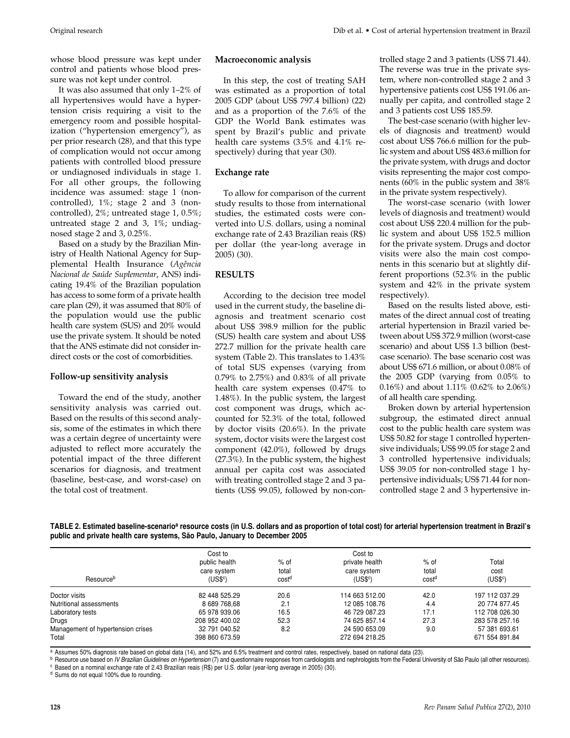whose blood pressure was kept under control and patients whose blood pressure was not kept under control.

It was also assumed that only 1–2% of all hypertensives would have a hypertension crisis requiring a visit to the emergency room and possible hospitalization ("hypertension emergency"), as per prior research (28), and that this type of complication would not occur among patients with controlled blood pressure or undiagnosed individuals in stage 1. For all other groups, the following incidence was assumed: stage 1 (noncontrolled), 1%; stage 2 and 3 (noncontrolled), 2%; untreated stage 1, 0.5%; untreated stage 2 and 3, 1%; undiagnosed stage 2 and 3, 0.25%.

Based on a study by the Brazilian Ministry of Health National Agency for Supplemental Health Insurance (*Agência Nacional de Saúde Suplementar*, ANS) indicating 19.4% of the Brazilian population has access to some form of a private health care plan (29), it was assumed that 80% of the population would use the public health care system (SUS) and 20% would use the private system. It should be noted that the ANS estimate did not consider indirect costs or the cost of comorbidities.

#### **Follow-up sensitivity analysis**

Toward the end of the study, another sensitivity analysis was carried out. Based on the results of this second analysis, some of the estimates in which there was a certain degree of uncertainty were adjusted to reflect more accurately the potential impact of the three different scenarios for diagnosis, and treatment (baseline, best-case, and worst-case) on the total cost of treatment.

### **Macroeconomic analysis**

In this step, the cost of treating SAH was estimated as a proportion of total 2005 GDP (about US\$ 797.4 billion) (22) and as a proportion of the 7.6% of the GDP the World Bank estimates was spent by Brazil's public and private health care systems (3.5% and 4.1% respectively) during that year (30).

### **Exchange rate**

To allow for comparison of the current study results to those from international studies, the estimated costs were converted into U.S. dollars, using a nominal exchange rate of 2.43 Brazilian reais (R\$) per dollar (the year-long average in 2005) (30).

## **RESULTS**

According to the decision tree model used in the current study, the baseline diagnosis and treatment scenario cost about US\$ 398.9 million for the public (SUS) health care system and about US\$ 272.7 million for the private health care system (Table 2). This translates to 1.43% of total SUS expenses (varying from 0.79% to 2.75%) and 0.83% of all private health care system expenses (0.47% to 1.48%). In the public system, the largest cost component was drugs, which accounted for 52.3% of the total, followed by doctor visits (20.6%). In the private system, doctor visits were the largest cost component (42.0%), followed by drugs (27.3%). In the public system, the highest annual per capita cost was associated with treating controlled stage 2 and 3 patients (US\$ 99.05), followed by non-controlled stage 2 and 3 patients (US\$ 71.44). The reverse was true in the private system, where non-controlled stage 2 and 3 hypertensive patients cost US\$ 191.06 annually per capita, and controlled stage 2 and 3 patients cost US\$ 185.59.

The best-case scenario (with higher levels of diagnosis and treatment) would cost about US\$ 766.6 million for the public system and about US\$ 483.6 million for the private system, with drugs and doctor visits representing the major cost components (60% in the public system and 38% in the private system respectively).

The worst-case scenario (with lower levels of diagnosis and treatment) would cost about US\$ 220.4 million for the public system and about US\$ 152.5 million for the private system. Drugs and doctor visits were also the main cost components in this scenario but at slightly different proportions (52.3% in the public system and 42% in the private system respectively).

Based on the results listed above, estimates of the direct annual cost of treating arterial hypertension in Brazil varied between about US\$ 372.9 million (worst-case scenario) and about US\$ 1.3 billion (bestcase scenario). The base scenario cost was about US\$ 671.6 million, or about 0.08% of the 2005 GDP (varying from 0.05% to 0.16%) and about 1.11% (0.62% to 2.06%) of all health care spending.

Broken down by arterial hypertension subgroup, the estimated direct annual cost to the public health care system was US\$ 50.82 for stage 1 controlled hypertensive individuals; US\$ 99.05 for stage 2 and 3 controlled hypertensive individuals; US\$ 39.05 for non-controlled stage 1 hypertensive individuals; US\$ 71.44 for noncontrolled stage 2 and 3 hypertensive in-

| TABLE 2. Estimated baseline-scenario <sup>a</sup> resource costs (in U.S. dollars and as proportion of total cost) for arterial hypertension treatment in Brazil's |  |  |
|--------------------------------------------------------------------------------------------------------------------------------------------------------------------|--|--|
| public and private health care systems, São Paulo, January to December 2005                                                                                        |  |  |

| Resourceb                         | Cost to<br>public health<br>care system<br>(US\$c) | $%$ of<br>total<br>cost <sup>d</sup> | Cost to<br>private health<br>care system<br>(US\$c) | $%$ of<br>total<br>cost <sup>d</sup> | Total<br>cost<br>(US\$c) |
|-----------------------------------|----------------------------------------------------|--------------------------------------|-----------------------------------------------------|--------------------------------------|--------------------------|
| Doctor visits                     | 82 448 525.29                                      | 20.6                                 | 114 663 512.00                                      | 42.0                                 | 197 112 037.29           |
| Nutritional assessments           | 8 689 768.68                                       | 2.1                                  | 12 085 108.76                                       | 4.4                                  | 20 774 877.45            |
| Laboratory tests                  | 65 978 939.06                                      | 16.5                                 | 46 729 087.23                                       | 17.1                                 | 112 708 026.30           |
| Drugs                             | 208 952 400.02                                     | 52.3                                 | 74 625 857.14                                       | 27.3                                 | 283 578 257.16           |
| Management of hypertension crises | 32 791 040.52                                      | 8.2                                  | 24 590 653.09                                       | 9.0                                  | 57 381 693.61            |
| Total                             | 398 860 673.59                                     |                                      | 272 694 218.25                                      |                                      | 671 554 891.84           |

a Assumes 50% diagnosis rate based on global data (14), and 52% and 6.5% treatment and control rates, respectively, based on national data (23).

<sup>b</sup> Resource use based on *IV Brazilian Guidelines on Hypertension* (7) and questionnaire responses from cardiologists and nephrologists from the Federal University of São Paulo (all other resources).<br><sup>c</sup> Based on a nomina

<sup>d</sup> Sums do not equal 100% due to rounding.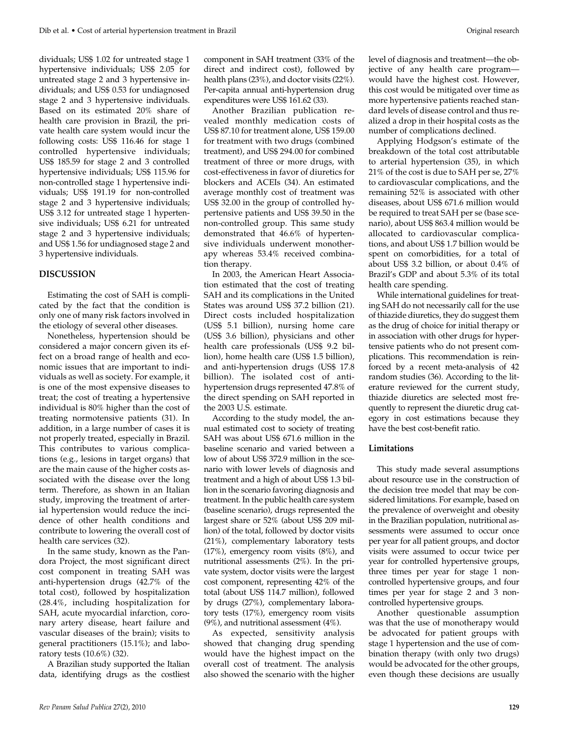dividuals; US\$ 1.02 for untreated stage 1 hypertensive individuals; US\$ 2.05 for untreated stage 2 and 3 hypertensive individuals; and US\$ 0.53 for undiagnosed stage 2 and 3 hypertensive individuals. Based on its estimated 20% share of health care provision in Brazil, the private health care system would incur the following costs: US\$ 116.46 for stage 1 controlled hypertensive individuals; US\$ 185.59 for stage 2 and 3 controlled hypertensive individuals; US\$ 115.96 for non-controlled stage 1 hypertensive individuals; US\$ 191.19 for non-controlled stage 2 and 3 hypertensive individuals; US\$ 3.12 for untreated stage 1 hypertensive individuals; US\$ 6.21 for untreated stage 2 and 3 hypertensive individuals; and US\$ 1.56 for undiagnosed stage 2 and 3 hypertensive individuals.

## **DISCUSSION**

Estimating the cost of SAH is complicated by the fact that the condition is only one of many risk factors involved in the etiology of several other diseases.

Nonetheless, hypertension should be considered a major concern given its effect on a broad range of health and economic issues that are important to individuals as well as society. For example, it is one of the most expensive diseases to treat; the cost of treating a hypertensive individual is 80% higher than the cost of treating normotensive patients (31). In addition, in a large number of cases it is not properly treated, especially in Brazil. This contributes to various complications (e.g., lesions in target organs) that are the main cause of the higher costs associated with the disease over the long term. Therefore, as shown in an Italian study, improving the treatment of arterial hypertension would reduce the incidence of other health conditions and contribute to lowering the overall cost of health care services (32).

In the same study, known as the Pandora Project, the most significant direct cost component in treating SAH was anti-hypertension drugs (42.7% of the total cost), followed by hospitalization (28.4%, including hospitalization for SAH, acute myocardial infarction, coronary artery disease, heart failure and vascular diseases of the brain); visits to general practitioners (15.1%); and laboratory tests (10.6%) (32).

A Brazilian study supported the Italian data, identifying drugs as the costliest component in SAH treatment (33% of the direct and indirect cost), followed by health plans (23%), and doctor visits (22%). Per-capita annual anti-hypertension drug expenditures were US\$ 161.62 (33).

Another Brazilian publication revealed monthly medication costs of US\$ 87.10 for treatment alone, US\$ 159.00 for treatment with two drugs (combined treatment), and US\$ 294.00 for combined treatment of three or more drugs, with cost-effectiveness in favor of diuretics for blockers and ACEIs (34). An estimated average monthly cost of treatment was US\$ 32.00 in the group of controlled hypertensive patients and US\$ 39.50 in the non-controlled group. This same study demonstrated that 46.6% of hypertensive individuals underwent monotherapy whereas 53.4% received combination therapy.

In 2003, the American Heart Association estimated that the cost of treating SAH and its complications in the United States was around US\$ 37.2 billion (21). Direct costs included hospitalization (US\$ 5.1 billion), nursing home care (US\$ 3.6 billion), physicians and other health care professionals (US\$ 9.2 billion), home health care (US\$ 1.5 billion), and anti-hypertension drugs (US\$ 17.8 billion). The isolated cost of antihypertension drugs represented 47.8% of the direct spending on SAH reported in the 2003 U.S. estimate.

According to the study model, the annual estimated cost to society of treating SAH was about US\$ 671.6 million in the baseline scenario and varied between a low of about US\$ 372.9 million in the scenario with lower levels of diagnosis and treatment and a high of about US\$ 1.3 billion in the scenario favoring diagnosis and treatment. In the public health care system (baseline scenario), drugs represented the largest share or 52% (about US\$ 209 million) of the total, followed by doctor visits (21%), complementary laboratory tests (17%), emergency room visits (8%), and nutritional assessments (2%). In the private system, doctor visits were the largest cost component, representing 42% of the total (about US\$ 114.7 million), followed by drugs (27%), complementary laboratory tests (17%), emergency room visits (9%), and nutritional assessment (4%).

As expected, sensitivity analysis showed that changing drug spending would have the highest impact on the overall cost of treatment. The analysis also showed the scenario with the higher

level of diagnosis and treatment—the objective of any health care program would have the highest cost. However, this cost would be mitigated over time as more hypertensive patients reached standard levels of disease control and thus realized a drop in their hospital costs as the number of complications declined.

Applying Hodgson's estimate of the breakdown of the total cost attributable to arterial hypertension (35), in which 21% of the cost is due to SAH per se, 27% to cardiovascular complications, and the remaining 52% is associated with other diseases, about US\$ 671.6 million would be required to treat SAH per se (base scenario), about US\$ 863.4 million would be allocated to cardiovascular complications, and about US\$ 1.7 billion would be spent on comorbidities, for a total of about US\$ 3.2 billion, or about 0.4% of Brazil's GDP and about 5.3% of its total health care spending.

While international guidelines for treating SAH do not necessarily call for the use of thiazide diuretics, they do suggest them as the drug of choice for initial therapy or in association with other drugs for hypertensive patients who do not present complications. This recommendation is reinforced by a recent meta-analysis of 42 random studies (36). According to the literature reviewed for the current study, thiazide diuretics are selected most frequently to represent the diuretic drug category in cost estimations because they have the best cost-benefit ratio.

#### **Limitations**

This study made several assumptions about resource use in the construction of the decision tree model that may be considered limitations. For example, based on the prevalence of overweight and obesity in the Brazilian population, nutritional assessments were assumed to occur once per year for all patient groups, and doctor visits were assumed to occur twice per year for controlled hypertensive groups, three times per year for stage 1 noncontrolled hypertensive groups, and four times per year for stage 2 and 3 noncontrolled hypertensive groups.

Another questionable assumption was that the use of monotherapy would be advocated for patient groups with stage 1 hypertension and the use of combination therapy (with only two drugs) would be advocated for the other groups, even though these decisions are usually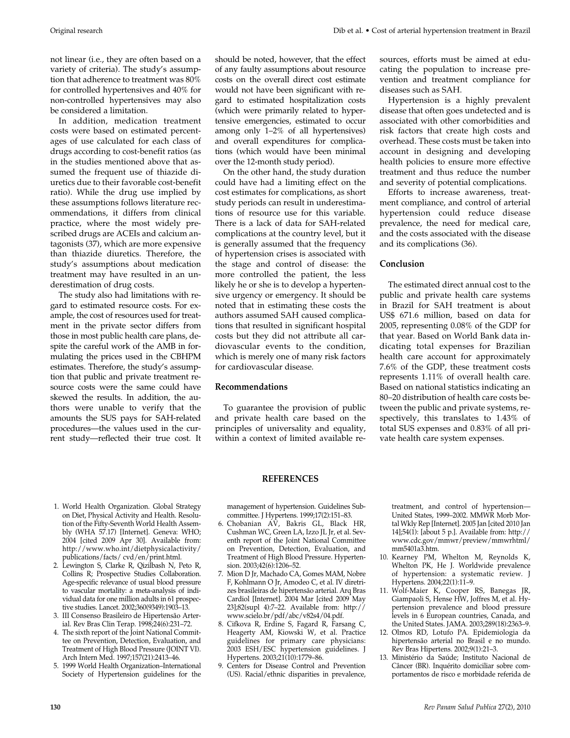not linear (i.e., they are often based on a variety of criteria). The study's assumption that adherence to treatment was 80% for controlled hypertensives and 40% for non-controlled hypertensives may also be considered a limitation.

In addition, medication treatment costs were based on estimated percentages of use calculated for each class of drugs according to cost-benefit ratios (as in the studies mentioned above that assumed the frequent use of thiazide diuretics due to their favorable cost-benefit ratio). While the drug use implied by these assumptions follows literature recommendations, it differs from clinical practice, where the most widely prescribed drugs are ACEIs and calcium antagonists (37), which are more expensive than thiazide diuretics. Therefore, the study's assumptions about medication treatment may have resulted in an underestimation of drug costs.

The study also had limitations with regard to estimated resource costs. For example, the cost of resources used for treatment in the private sector differs from those in most public health care plans, despite the careful work of the AMB in formulating the prices used in the CBHPM estimates. Therefore, the study's assumption that public and private treatment resource costs were the same could have skewed the results. In addition, the authors were unable to verify that the amounts the SUS pays for SAH-related procedures—the values used in the current study—reflected their true cost. It should be noted, however, that the effect of any faulty assumptions about resource costs on the overall direct cost estimate would not have been significant with regard to estimated hospitalization costs (which were primarily related to hypertensive emergencies, estimated to occur among only 1–2% of all hypertensives) and overall expenditures for complications (which would have been minimal over the 12-month study period).

On the other hand, the study duration could have had a limiting effect on the cost estimates for complications, as short study periods can result in underestimations of resource use for this variable. There is a lack of data for SAH-related complications at the country level, but it is generally assumed that the frequency of hypertension crises is associated with the stage and control of disease: the more controlled the patient, the less likely he or she is to develop a hypertensive urgency or emergency. It should be noted that in estimating these costs the authors assumed SAH caused complications that resulted in significant hospital costs but they did not attribute all cardiovascular events to the condition, which is merely one of many risk factors for cardiovascular disease.

#### **Recommendations**

To guarantee the provision of public and private health care based on the principles of universality and equality, within a context of limited available re-

**REFERENCES**

sources, efforts must be aimed at educating the population to increase prevention and treatment compliance for diseases such as SAH.

Hypertension is a highly prevalent disease that often goes undetected and is associated with other comorbidities and risk factors that create high costs and overhead. These costs must be taken into account in designing and developing health policies to ensure more effective treatment and thus reduce the number and severity of potential complications.

Efforts to increase awareness, treatment compliance, and control of arterial hypertension could reduce disease prevalence, the need for medical care, and the costs associated with the disease and its complications (36).

#### **Conclusion**

The estimated direct annual cost to the public and private health care systems in Brazil for SAH treatment is about US\$ 671.6 million, based on data for 2005, representing 0.08% of the GDP for that year. Based on World Bank data indicating total expenses for Brazilian health care account for approximately 7.6% of the GDP, these treatment costs represents 1.11% of overall health care. Based on national statistics indicating an 80–20 distribution of health care costs between the public and private systems, respectively, this translates to 1.43% of total SUS expenses and 0.83% of all private health care system expenses.

- 1. World Health Organization. Global Strategy on Diet, Physical Activity and Health. Resolution of the Fifty-Seventh World Health Assembly (WHA 57.17) [Internet]. Geneva: WHO; 2004 [cited 2009 Apr 30]. Available from: http://www.who.int/dietphysicalactivity/ publications/facts/ cvd/en/print.html.
- 2. Lewington S, Clarke R, Qizilbash N, Peto R, Collins R; Prospective Studies Collaboration. Age-specific relevance of usual blood pressure to vascular mortality: a meta-analysis of individual data for one million adults in 61 prospective studies. Lancet. 2002;360(9349):1903–13.
- 3. III Consenso Brasileiro de Hipertensão Arterial. Rev Bras Clin Terap. 1998;24(6):231–72.
- 4. The sixth report of the Joint National Committee on Prevention, Detection, Evaluation, and Treatment of High Blood Pressure (JOINT VI). Arch Intern Med. 1997;157(21):2413–46.
- 5. 1999 World Health Organization–International Society of Hypertension guidelines for the

management of hypertension. Guidelines Sub-

- committee. J Hypertens. 1999;17(2):151–83. 6. Chobanian AV, Bakris GL, Black HR, Cushman WC, Green LA, Izzo JL Jr, et al. Seventh report of the Joint National Committee on Prevention, Detection, Evaluation, and Treatment of High Blood Pressure. Hypertension. 2003;42(6):1206–52.
- 7. Mion D Jr, Machado CA, Gomes MAM, Nobre F, Kohlmann O Jr, Amodeo C, et al. IV diretrizes brasileiras de hipertensão arterial. Arq Bras Cardiol [Internet]. 2004 Mar [cited 2009 May 23];82(supl 4):7–22. Available from: http:// www.scielo.br/pdf/abc/v82s4/04.pdf.
- 8. Cifkova R, Erdine S, Fagard R, Farsang C, Heagerty AM, Kiowski W, et al. Practice guidelines for primary care physicians: 2003 ESH/ESC hypertension guidelines. J Hypertens. 2003;21(10):1779–86.
- 9. Centers for Disease Control and Prevention (US). Racial/ethnic disparities in prevalence,

treatment, and control of hypertension— United States, 1999–2002. MMWR Morb Mortal Wkly Rep [Internet]. 2005 Jan [cited 2010 Jan 14];54(1): [about 5 p.]. Available from: http:// www.cdc.gov/mmwr/preview/mmwrhtml/ mm5401a3.htm.

- 10. Kearney PM, Whelton M, Reynolds K, Whelton PK, He J. Worldwide prevalence of hypertension: a systematic review. J Hypertens. 2004;22(1):11–9.
- 11. Wolf-Maier K, Cooper RS, Banegas JR, Giampaoli S, Hense HW, Joffres M, et al. Hypertension prevalence and blood pressure levels in 6 European countries, Canada, and the United States. JAMA. 2003;289(18):2363–9.
- 12. Olmos RD, Lotufo PA. Epidemiologia da hipertensão arterial no Brasil e no mundo. Rev Bras Hipertens. 2002;9(1):21–3.
- 13. Ministério da Saúde; Instituto Nacional de Câncer (BR). Inquérito domiciliar sobre comportamentos de risco e morbidade referida de